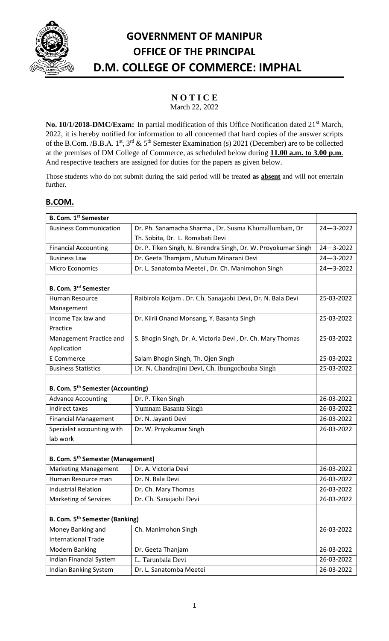

## **GOVERNMENT OF MANIPUR OFFICE OF THE PRINCIPAL D.M. COLLEGE OF COMMERCE: IMPHAL**

## **N O T I C E**

March 22, 2022

No. 10/1/2018-DMC/Exam: In partial modification of this Office Notification dated 21<sup>st</sup> March, 2022, it is hereby notified for information to all concerned that hard copies of the answer scripts of the B.Com. /B.B.A. 1<sup>st</sup>, 3<sup>rd</sup> & 5<sup>th</sup> Semester Examination (s) 2021 (December) are to be collected at the premises of DM College of Commerce, as scheduled below during **11.00 a.m. to 3.00 p.m**. And respective teachers are assigned for duties for the papers as given below.

Those students who do not submit during the said period will be treated **as absent** and will not entertain further.

## **B.COM.**

| <b>B. Com. 1st Semester</b>                   |                                                                |                 |  |
|-----------------------------------------------|----------------------------------------------------------------|-----------------|--|
| <b>Business Communication</b>                 | Dr. Ph. Sanamacha Sharma, Dr. Susma Khumallumbam, Dr           |                 |  |
|                                               | Th. Sobita, Dr. L. Romabati Devi                               |                 |  |
| <b>Financial Accounting</b>                   | Dr. P. Tiken Singh, N. Birendra Singh, Dr. W. Proyokumar Singh | $24 - 3 - 2022$ |  |
| <b>Business Law</b>                           | Dr. Geeta Thamjam, Mutum Minarani Devi                         | $24 - 3 - 2022$ |  |
| Micro Economics                               | Dr. L. Sanatomba Meetei, Dr. Ch. Manimohon Singh               | $24 - 3 - 2022$ |  |
| B. Com. 3rd Semester                          |                                                                |                 |  |
| <b>Human Resource</b>                         | Raibirola Koijam . Dr. Ch. Sanajaobi Devi, Dr. N. Bala Devi    | 25-03-2022      |  |
| Management                                    |                                                                |                 |  |
| Income Tax law and                            | Dr. Kiirii Onand Monsang, Y. Basanta Singh                     | 25-03-2022      |  |
| Practice                                      |                                                                |                 |  |
| Management Practice and                       | S. Bhogin Singh, Dr. A. Victoria Devi, Dr. Ch. Mary Thomas     | 25-03-2022      |  |
| Application                                   |                                                                |                 |  |
| E Commerce                                    | Salam Bhogin Singh, Th. Ojen Singh                             | 25-03-2022      |  |
| <b>Business Statistics</b>                    | Dr. N. Chandrajini Devi, Ch. Ibungochouba Singh                | 25-03-2022      |  |
|                                               |                                                                |                 |  |
| <b>B. Com. 5th Semester (Accounting)</b>      |                                                                |                 |  |
| <b>Advance Accounting</b>                     | Dr. P. Tiken Singh                                             | 26-03-2022      |  |
| Indirect taxes                                | Yumnam Basanta Singh                                           | 26-03-2022      |  |
| <b>Financial Management</b>                   | Dr. N. Jayanti Devi                                            | 26-03-2022      |  |
| Specialist accounting with                    | Dr. W. Priyokumar Singh                                        | 26-03-2022      |  |
| lab work                                      |                                                                |                 |  |
| B. Com. 5 <sup>th</sup> Semester (Management) |                                                                |                 |  |
| <b>Marketing Management</b>                   | Dr. A. Victoria Devi                                           | 26-03-2022      |  |
| Human Resource man                            | Dr. N. Bala Devi                                               | 26-03-2022      |  |
| <b>Industrial Relation</b>                    | Dr. Ch. Mary Thomas                                            | 26-03-2022      |  |
| Marketing of Services                         | Dr. Ch. Sanajaobi Devi                                         | 26-03-2022      |  |
|                                               |                                                                |                 |  |
| B. Com. 5 <sup>th</sup> Semester (Banking)    |                                                                |                 |  |
| Money Banking and                             | Ch. Manimohon Singh                                            | 26-03-2022      |  |
| <b>International Trade</b>                    |                                                                |                 |  |
| <b>Modern Banking</b>                         | Dr. Geeta Thanjam                                              | 26-03-2022      |  |
| Indian Financial System                       | L. Tarunbala Devi                                              | 26-03-2022      |  |
| Indian Banking System                         | Dr. L. Sanatomba Meetei                                        | 26-03-2022      |  |